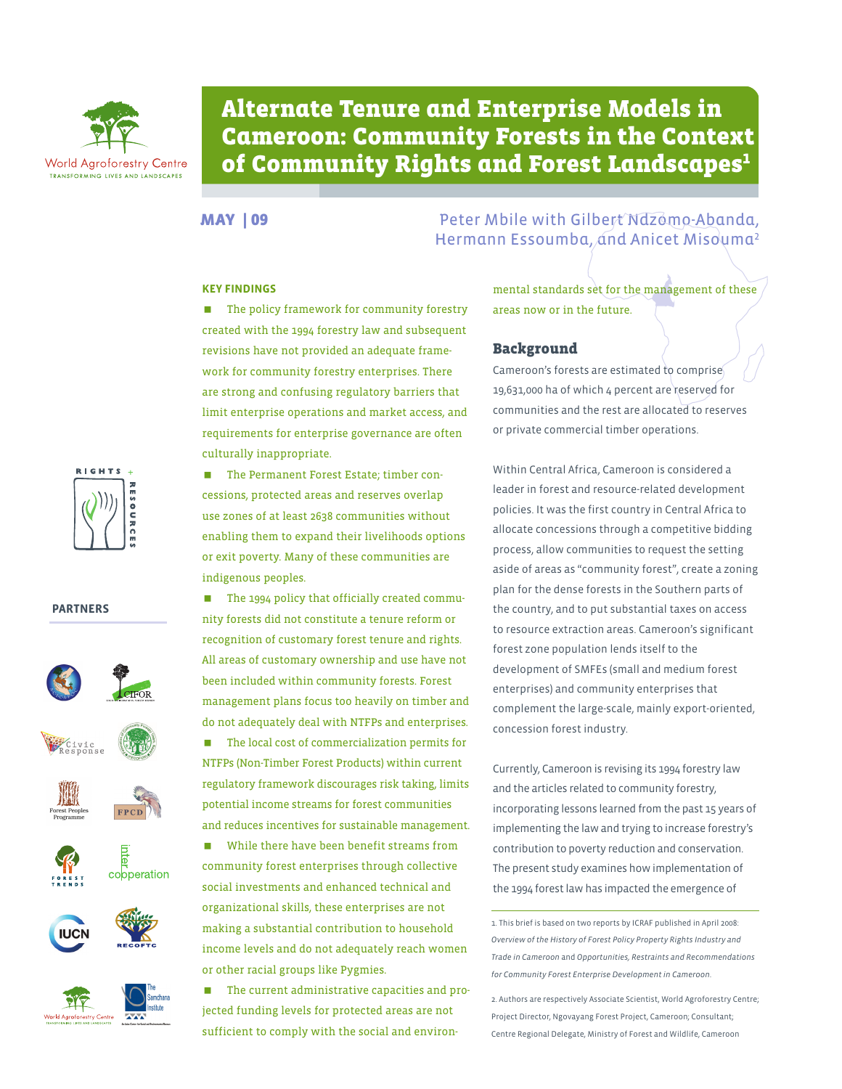

# Alternate Tenure and Enterprise Models in Cameroon: Community Forests in the Context of Community Rights and Forest Landscapes $1$

#### **Key Findings**

**The policy framework for community forestry** created with the 1994 forestry law and subsequent revisions have not provided an adequate framework for community forestry enterprises. There are strong and confusing regulatory barriers that limit enterprise operations and market access, and requirements for enterprise governance are often culturally inappropriate.



#### **PARTNERS**





**The Permanent Forest Estate; timber con**cessions, protected areas and reserves overlap use zones of at least 2638 communities without enabling them to expand their livelihoods options or exit poverty. Many of these communities are indigenous peoples.

■ The 1994 policy that officially created community forests did not constitute a tenure reform or recognition of customary forest tenure and rights. All areas of customary ownership and use have not been included within community forests. Forest management plans focus too heavily on timber and do not adequately deal with NTFPs and enterprises.

■ The local cost of commercialization permits for NTFPs (Non-Timber Forest Products) within current regulatory framework discourages risk taking, limits potential income streams for forest communities and reduces incentives for sustainable management.

 While there have been benefit streams from community forest enterprises through collective social investments and enhanced technical and organizational skills, these enterprises are not making a substantial contribution to household income levels and do not adequately reach women or other racial groups like Pygmies.

■ The current administrative capacities and projected funding levels for protected areas are not sufficient to comply with the social and environ-

MAY | 09 Peter Mbile with Gilbert Ndzomo-Abanda, Hermann Essoumba, and Anicet Misouma<sup>2</sup>

> mental standards set for the management of these areas now or in the future.

### Background

Cameroon's forests are estimated to comprise 19,631,000 ha of which 4 percent are reserved for communities and the rest are allocated to reserves or private commercial timber operations.

Within Central Africa, Cameroon is considered a leader in forest and resource-related development policies. It was the first country in Central Africa to allocate concessions through a competitive bidding process, allow communities to request the setting aside of areas as "community forest", create a zoning plan for the dense forests in the Southern parts of the country, and to put substantial taxes on access to resource extraction areas. Cameroon's significant forest zone population lends itself to the development of SMFEs (small and medium forest enterprises) and community enterprises that complement the large-scale, mainly export-oriented, concession forest industry.

Currently, Cameroon is revising its 1994 forestry law and the articles related to community forestry, incorporating lessons learned from the past 15 years of implementing the law and trying to increase forestry's contribution to poverty reduction and conservation. The present study examines how implementation of the 1994 forest law has impacted the emergence of

1. This brief is based on two reports by ICRAF published in April 2008: *Overview of the History of Forest Policy Property Rights Industry and Trade in Cameroon* and *Opportunities, Restraints and Recommendations for Community Forest Enterprise Development in Cameroon*.

2. Authors are respectively Associate Scientist, World Agroforestry Centre; Project Director, Ngovayang Forest Project, Cameroon; Consultant; Centre Regional Delegate, Ministry of Forest and Wildlife, Cameroon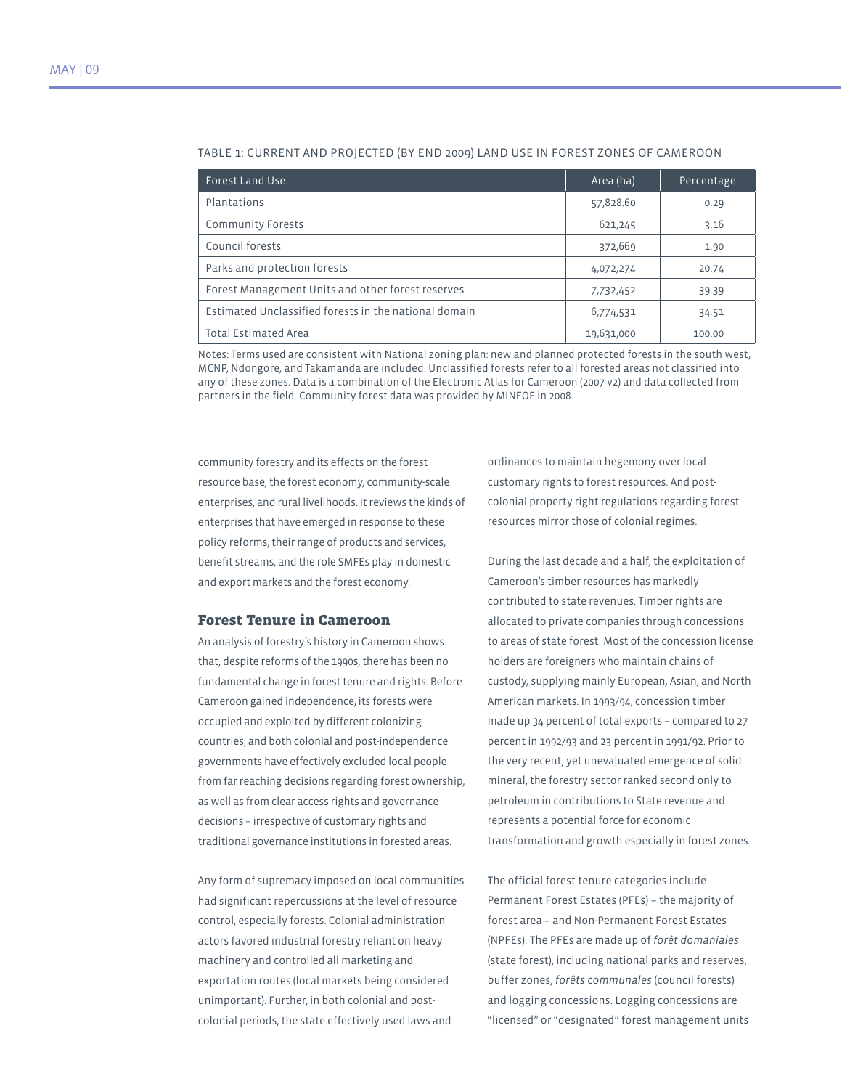| <b>Forest Land Use</b>                                | Area (ha)  | Percentage |
|-------------------------------------------------------|------------|------------|
| Plantations                                           | 57,828.60  | 0.29       |
| <b>Community Forests</b>                              | 621,245    | 3.16       |
| Council forests                                       | 372,669    | 1.90       |
| Parks and protection forests                          | 4,072,274  | 20.74      |
| Forest Management Units and other forest reserves     | 7,732,452  | 39.39      |
| Estimated Unclassified forests in the national domain | 6,774,531  | 34.51      |
| <b>Total Estimated Area</b>                           | 19,631,000 | 100.00     |

#### Table 1: Current and projected (by end 2009) land use in forest zones of Cameroon

Notes: Terms used are consistent with National zoning plan: new and planned protected forests in the south west, MCNP, Ndongore, and Takamanda are included. Unclassified forests refer to all forested areas not classified into any of these zones. Data is a combination of the Electronic Atlas for Cameroon (2007 v2) and data collected from partners in the field. Community forest data was provided by MINFOF in 2008.

community forestry and its effects on the forest resource base, the forest economy, community-scale enterprises, and rural livelihoods. It reviews the kinds of enterprises that have emerged in response to these policy reforms, their range of products and services, benefit streams, and the role SMFEs play in domestic and export markets and the forest economy.

#### Forest Tenure in Cameroon

An analysis of forestry's history in Cameroon shows that, despite reforms of the 1990s, there has been no fundamental change in forest tenure and rights. Before Cameroon gained independence, its forests were occupied and exploited by different colonizing countries; and both colonial and post-independence governments have effectively excluded local people from far reaching decisions regarding forest ownership, as well as from clear access rights and governance decisions – irrespective of customary rights and traditional governance institutions in forested areas.

Any form of supremacy imposed on local communities had significant repercussions at the level of resource control, especially forests. Colonial administration actors favored industrial forestry reliant on heavy machinery and controlled all marketing and exportation routes (local markets being considered unimportant). Further, in both colonial and postcolonial periods, the state effectively used laws and

ordinances to maintain hegemony over local customary rights to forest resources. And postcolonial property right regulations regarding forest resources mirror those of colonial regimes.

During the last decade and a half, the exploitation of Cameroon's timber resources has markedly contributed to state revenues. Timber rights are allocated to private companies through concessions to areas of state forest. Most of the concession license holders are foreigners who maintain chains of custody, supplying mainly European, Asian, and North American markets. In 1993/94, concession timber made up 34 percent of total exports – compared to 27 percent in 1992/93 and 23 percent in 1991/92. Prior to the very recent, yet unevaluated emergence of solid mineral, the forestry sector ranked second only to petroleum in contributions to State revenue and represents a potential force for economic transformation and growth especially in forest zones.

The official forest tenure categories include Permanent Forest Estates (PFEs) – the majority of forest area – and Non-Permanent Forest Estates (NPFEs). The PFEs are made up of *forêt domaniales* (state forest), including national parks and reserves, buffer zones, *forêts communales* (council forests) and logging concessions. Logging concessions are "licensed" or "designated" forest management units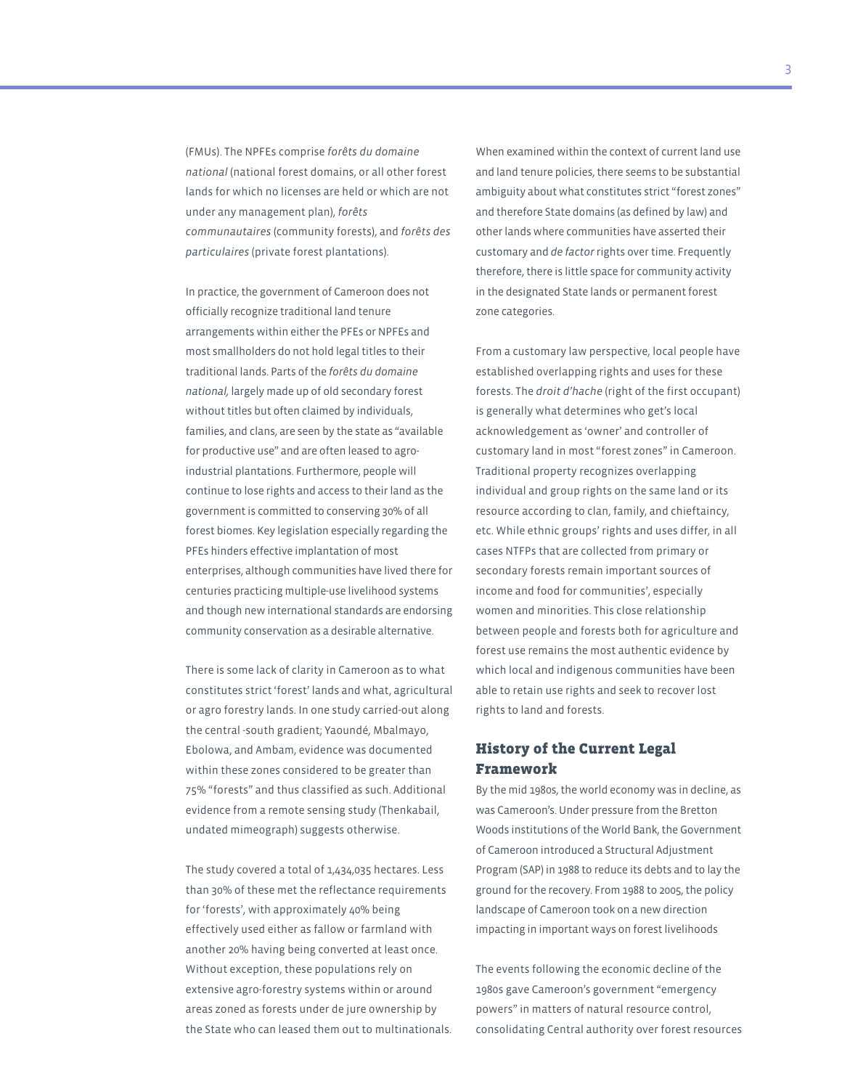(FMUs). The NPFEs comprise *forêts du domaine national* (national forest domains, or all other forest lands for which no licenses are held or which are not under any management plan), *forêts communautaires* (community forests), and *forêts des particulaires* (private forest plantations).

In practice, the government of Cameroon does not officially recognize traditional land tenure arrangements within either the PFEs or NPFEs and most smallholders do not hold legal titles to their traditional lands. Parts of the *forêts du domaine national,* largely made up of old secondary forest without titles but often claimed by individuals, families, and clans, are seen by the state as "available for productive use" and are often leased to agroindustrial plantations. Furthermore, people will continue to lose rights and access to their land as the government is committed to conserving 30% of all forest biomes. Key legislation especially regarding the PFEs hinders effective implantation of most enterprises, although communities have lived there for centuries practicing multiple-use livelihood systems and though new international standards are endorsing community conservation as a desirable alternative.

There is some lack of clarity in Cameroon as to what constitutes strict 'forest' lands and what, agricultural or agro forestry lands. In one study carried-out along the central -south gradient; Yaoundé, Mbalmayo, Ebolowa, and Ambam, evidence was documented within these zones considered to be greater than 75% "forests" and thus classified as such. Additional evidence from a remote sensing study (Thenkabail, undated mimeograph) suggests otherwise.

The study covered a total of 1,434,035 hectares. Less than 30% of these met the reflectance requirements for 'forests', with approximately 40% being effectively used either as fallow or farmland with another 20% having being converted at least once. Without exception, these populations rely on extensive agro-forestry systems within or around areas zoned as forests under de jure ownership by the State who can leased them out to multinationals. When examined within the context of current land use and land tenure policies, there seems to be substantial ambiguity about what constitutes strict "forest zones" and therefore State domains (as defined by law) and other lands where communities have asserted their customary and *de factor* rights over time. Frequently therefore, there is little space for community activity in the designated State lands or permanent forest zone categories.

From a customary law perspective, local people have established overlapping rights and uses for these forests. The *droit d'hache* (right of the first occupant) is generally what determines who get's local acknowledgement as 'owner' and controller of customary land in most "forest zones" in Cameroon. Traditional property recognizes overlapping individual and group rights on the same land or its resource according to clan, family, and chieftaincy, etc. While ethnic groups' rights and uses differ, in all cases NTFPs that are collected from primary or secondary forests remain important sources of income and food for communities', especially women and minorities. This close relationship between people and forests both for agriculture and forest use remains the most authentic evidence by which local and indigenous communities have been able to retain use rights and seek to recover lost rights to land and forests.

# History of the Current Legal Framework

By the mid 1980s, the world economy was in decline, as was Cameroon's. Under pressure from the Bretton Woods institutions of the World Bank, the Government of Cameroon introduced a Structural Adjustment Program (SAP) in 1988 to reduce its debts and to lay the ground for the recovery. From 1988 to 2005, the policy landscape of Cameroon took on a new direction impacting in important ways on forest livelihoods

The events following the economic decline of the 1980s gave Cameroon's government "emergency powers" in matters of natural resource control, consolidating Central authority over forest resources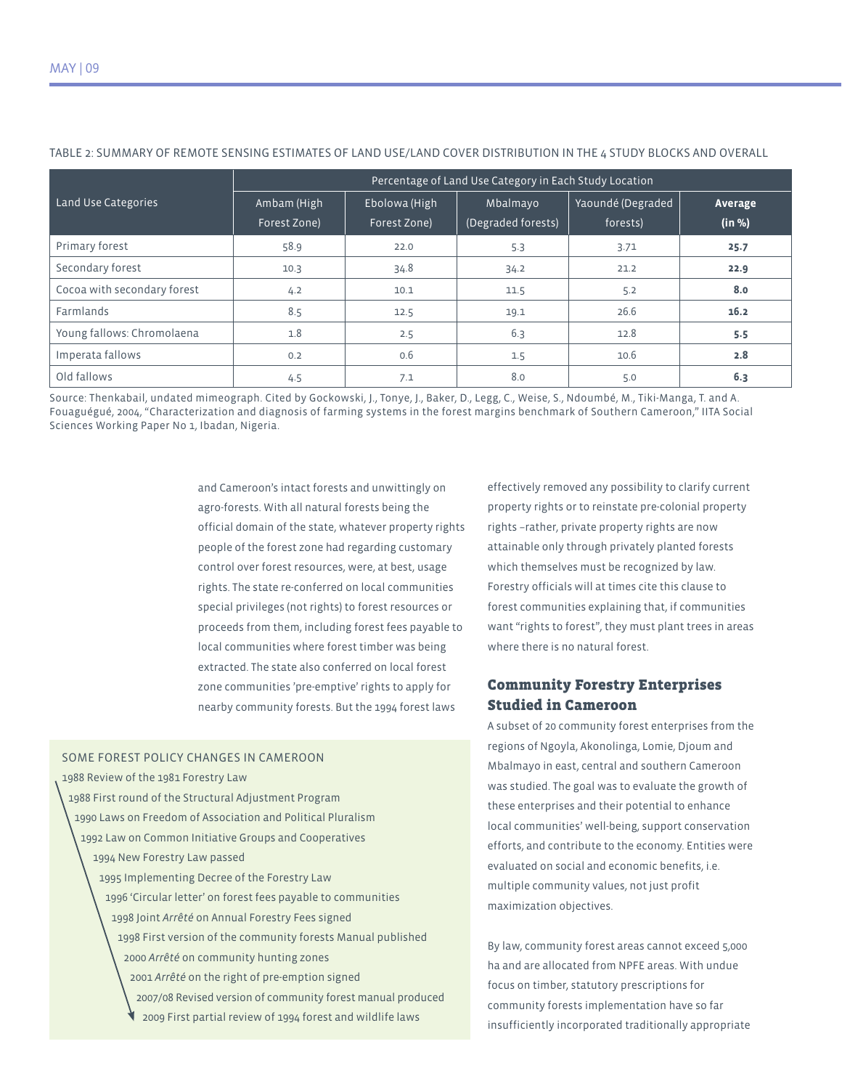|                             | Percentage of Land Use Category in Each Study Location |                               |                                |                               |                   |  |
|-----------------------------|--------------------------------------------------------|-------------------------------|--------------------------------|-------------------------------|-------------------|--|
| Land Use Categories         | Ambam (High<br>Forest Zone)                            | Ebolowa (High<br>Forest Zone) | Mbalmayo<br>(Degraded forests) | Yaoundé (Degraded<br>forests) | Average<br>(in %) |  |
| Primary forest              | 58.9                                                   | 22.0                          | 5.3                            | 3.71                          | 25.7              |  |
| Secondary forest            | 10.3                                                   | 34.8                          | 34.2                           | 21.2                          | 22.9              |  |
| Cocoa with secondary forest | 4.2                                                    | 10.1                          | 11.5                           | 5.2                           | 8.0               |  |
| Farmlands                   | 8.5                                                    | 12.5                          | 19.1                           | 26.6                          | 16.2              |  |
| Young fallows: Chromolaena  | 1.8                                                    | 2.5                           | 6.3                            | 12.8                          | 5.5               |  |
| Imperata fallows            | 0.2                                                    | 0.6                           | 1.5                            | 10.6                          | 2.8               |  |
| Old fallows                 | 4.5                                                    | 7.1                           | 8.0                            | 5.0                           | 6.3               |  |

#### Table 2: Summary of remote sensing estimates of land use/land cover distribution in the 4 study blocks and overall

Source: Thenkabail, undated mimeograph. Cited by Gockowski, J., Tonye, J., Baker, D., Legg, C., Weise, S., Ndoumbé, M., Tiki-Manga, T. and A. Fouaguégué, 2004, "Characterization and diagnosis of farming systems in the forest margins benchmark of Southern Cameroon," IITA Social Sciences Working Paper No 1, Ibadan, Nigeria.

> and Cameroon's intact forests and unwittingly on agro-forests. With all natural forests being the official domain of the state, whatever property rights people of the forest zone had regarding customary control over forest resources, were, at best, usage rights. The state re-conferred on local communities special privileges (not rights) to forest resources or proceeds from them, including forest fees payable to local communities where forest timber was being extracted. The state also conferred on local forest zone communities 'pre-emptive' rights to apply for nearby community forests. But the 1994 forest laws

#### Some Forest Policy Changes in Cameroon

- 1988 Review of the 1981 Forestry Law
- 1988 First round of the Structural Adjustment Program
	- 1990 Laws on Freedom of Association and Political Pluralism
	- 1992 Law on Common Initiative Groups and Cooperatives 1994 New Forestry Law passed
		- 1995 Implementing Decree of the Forestry Law 1996 'Circular letter' on forest fees payable to communities
			- 1998 Joint *Arrêté* on Annual Forestry Fees signed
			- 1998 First version of the community forests Manual published 2000 *Arrêté* on community hunting zones
				- 2001 *Arrêté* on the right of pre-emption signed
				- 2007/08 Revised version of community forest manual produced
					- 2009 First partial review of 1994 forest and wildlife laws

effectively removed any possibility to clarify current property rights or to reinstate pre-colonial property rights –rather, private property rights are now attainable only through privately planted forests which themselves must be recognized by law. Forestry officials will at times cite this clause to forest communities explaining that, if communities want "rights to forest", they must plant trees in areas where there is no natural forest.

# Community Forestry Enterprises Studied in Cameroon

A subset of 20 community forest enterprises from the regions of Ngoyla, Akonolinga, Lomie, Djoum and Mbalmayo in east, central and southern Cameroon was studied. The goal was to evaluate the growth of these enterprises and their potential to enhance local communities' well-being, support conservation efforts, and contribute to the economy. Entities were evaluated on social and economic benefits, i.e. multiple community values, not just profit maximization objectives.

By law, community forest areas cannot exceed 5,000 ha and are allocated from NPFE areas. With undue focus on timber, statutory prescriptions for community forests implementation have so far insufficiently incorporated traditionally appropriate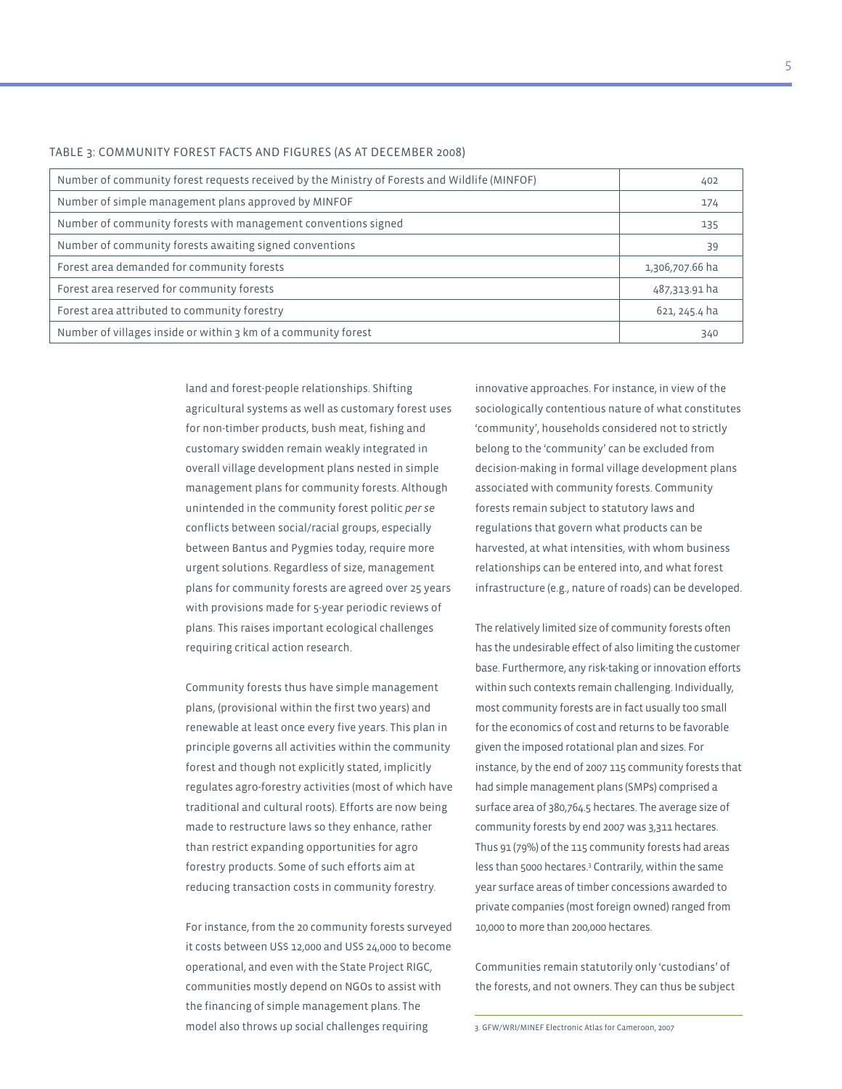| Number of community forest requests received by the Ministry of Forests and Wildlife (MINFOF) | 402             |
|-----------------------------------------------------------------------------------------------|-----------------|
| Number of simple management plans approved by MINFOF                                          | 174             |
| Number of community forests with management conventions signed                                | 135             |
| Number of community forests awaiting signed conventions                                       | 39              |
| Forest area demanded for community forests                                                    | 1,306,707.66 ha |
| Forest area reserved for community forests                                                    | 487,313.91 ha   |
| Forest area attributed to community forestry                                                  | 621, 245.4 ha   |
| Number of villages inside or within 3 km of a community forest                                | 340             |

#### Table 3: Community Forest Facts and Figures (as at December 2008)

land and forest-people relationships. Shifting agricultural systems as well as customary forest uses for non-timber products, bush meat, fishing and customary swidden remain weakly integrated in overall village development plans nested in simple management plans for community forests. Although unintended in the community forest politic *per se* conflicts between social/racial groups, especially between Bantus and Pygmies today, require more urgent solutions. Regardless of size, management plans for community forests are agreed over 25 years with provisions made for 5-year periodic reviews of plans. This raises important ecological challenges requiring critical action research.

Community forests thus have simple management plans, (provisional within the first two years) and renewable at least once every five years. This plan in principle governs all activities within the community forest and though not explicitly stated, implicitly regulates agro-forestry activities (most of which have traditional and cultural roots). Efforts are now being made to restructure laws so they enhance, rather than restrict expanding opportunities for agro forestry products. Some of such efforts aim at reducing transaction costs in community forestry.

For instance, from the 20 community forests surveyed it costs between US\$ 12,000 and US\$ 24,000 to become operational, and even with the State Project RIGC, communities mostly depend on NGOs to assist with the financing of simple management plans. The model also throws up social challenges requiring

innovative approaches. For instance, in view of the sociologically contentious nature of what constitutes 'community', households considered not to strictly belong to the 'community' can be excluded from decision-making in formal village development plans associated with community forests. Community forests remain subject to statutory laws and regulations that govern what products can be harvested, at what intensities, with whom business relationships can be entered into, and what forest infrastructure (e.g., nature of roads) can be developed.

The relatively limited size of community forests often has the undesirable effect of also limiting the customer base. Furthermore, any risk-taking or innovation efforts within such contexts remain challenging. Individually, most community forests are in fact usually too small for the economics of cost and returns to be favorable given the imposed rotational plan and sizes. For instance, by the end of 2007 115 community forests that had simple management plans (SMPs) comprised a surface area of 380,764.5 hectares. The average size of community forests by end 2007 was 3,311 hectares. Thus 91 (79%) of the 115 community forests had areas less than 5000 hectares.<sup>3</sup> Contrarily, within the same year surface areas of timber concessions awarded to private companies (most foreign owned) ranged from 10,000 to more than 200,000 hectares.

Communities remain statutorily only 'custodians' of the forests, and not owners. They can thus be subject

3. GFW/WRI/MINEF Electronic Atlas for Cameroon, 2007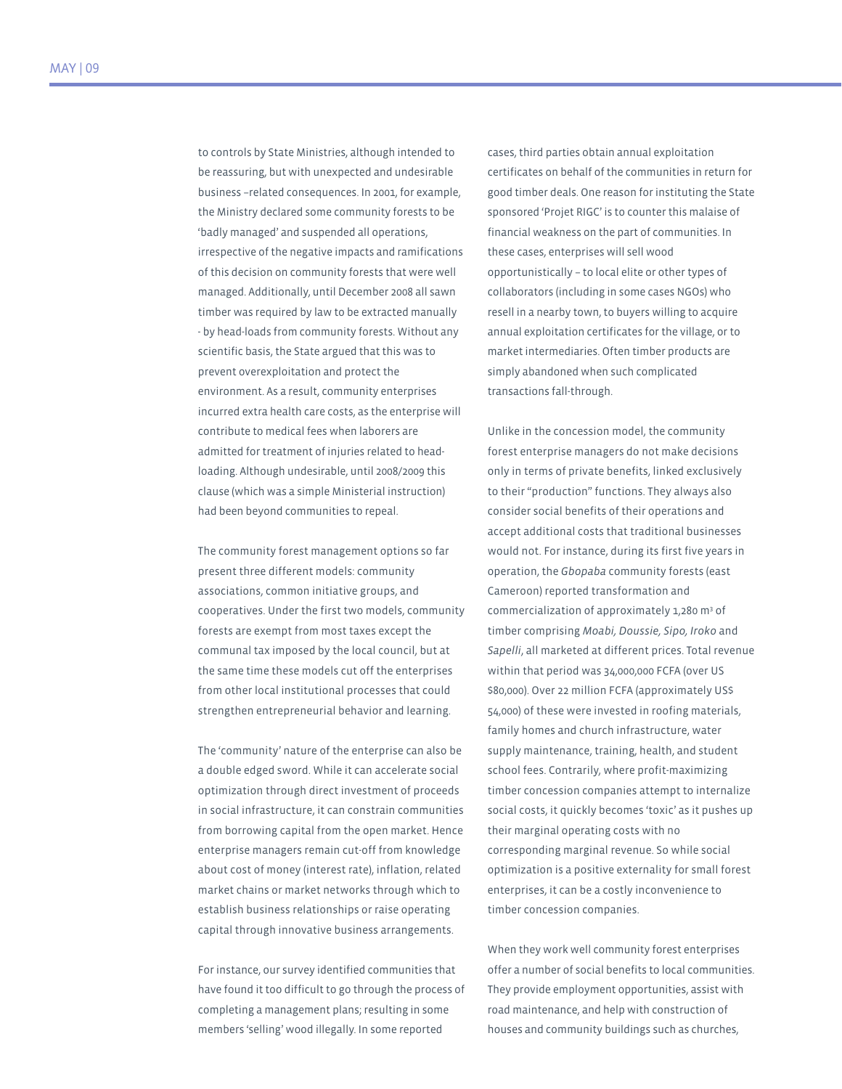to controls by State Ministries, although intended to be reassuring, but with unexpected and undesirable business –related consequences. In 2001, for example, the Ministry declared some community forests to be 'badly managed' and suspended all operations, irrespective of the negative impacts and ramifications of this decision on community forests that were well managed. Additionally, until December 2008 all sawn timber was required by law to be extracted manually - by head-loads from community forests. Without any scientific basis, the State argued that this was to prevent overexploitation and protect the environment. As a result, community enterprises incurred extra health care costs, as the enterprise will contribute to medical fees when laborers are admitted for treatment of injuries related to headloading. Although undesirable, until 2008/2009 this clause (which was a simple Ministerial instruction) had been beyond communities to repeal.

The community forest management options so far present three different models: community associations, common initiative groups, and cooperatives. Under the first two models, community forests are exempt from most taxes except the communal tax imposed by the local council, but at the same time these models cut off the enterprises from other local institutional processes that could strengthen entrepreneurial behavior and learning.

The 'community' nature of the enterprise can also be a double edged sword. While it can accelerate social optimization through direct investment of proceeds in social infrastructure, it can constrain communities from borrowing capital from the open market. Hence enterprise managers remain cut-off from knowledge about cost of money (interest rate), inflation, related market chains or market networks through which to establish business relationships or raise operating capital through innovative business arrangements.

For instance, our survey identified communities that have found it too difficult to go through the process of completing a management plans; resulting in some members 'selling' wood illegally. In some reported

cases, third parties obtain annual exploitation certificates on behalf of the communities in return for good timber deals. One reason for instituting the State sponsored 'Projet RIGC' is to counter this malaise of financial weakness on the part of communities. In these cases, enterprises will sell wood opportunistically – to local elite or other types of collaborators (including in some cases NGOs) who resell in a nearby town, to buyers willing to acquire annual exploitation certificates for the village, or to market intermediaries. Often timber products are simply abandoned when such complicated transactions fall-through.

Unlike in the concession model, the community forest enterprise managers do not make decisions only in terms of private benefits, linked exclusively to their "production" functions. They always also consider social benefits of their operations and accept additional costs that traditional businesses would not. For instance, during its first five years in operation, the *Gbopaba* community forests (east Cameroon) reported transformation and commercialization of approximately 1,280 m<sup>3</sup> of timber comprising *Moabi, Doussie, Sipo, Iroko* and *Sapelli*, all marketed at different prices. Total revenue within that period was 34,000,000 FCFA (over US \$80,000). Over 22 million FCFA (approximately US\$ 54,000) of these were invested in roofing materials, family homes and church infrastructure, water supply maintenance, training, health, and student school fees. Contrarily, where profit-maximizing timber concession companies attempt to internalize social costs, it quickly becomes 'toxic' as it pushes up their marginal operating costs with no corresponding marginal revenue. So while social optimization is a positive externality for small forest enterprises, it can be a costly inconvenience to timber concession companies.

When they work well community forest enterprises offer a number of social benefits to local communities. They provide employment opportunities, assist with road maintenance, and help with construction of houses and community buildings such as churches,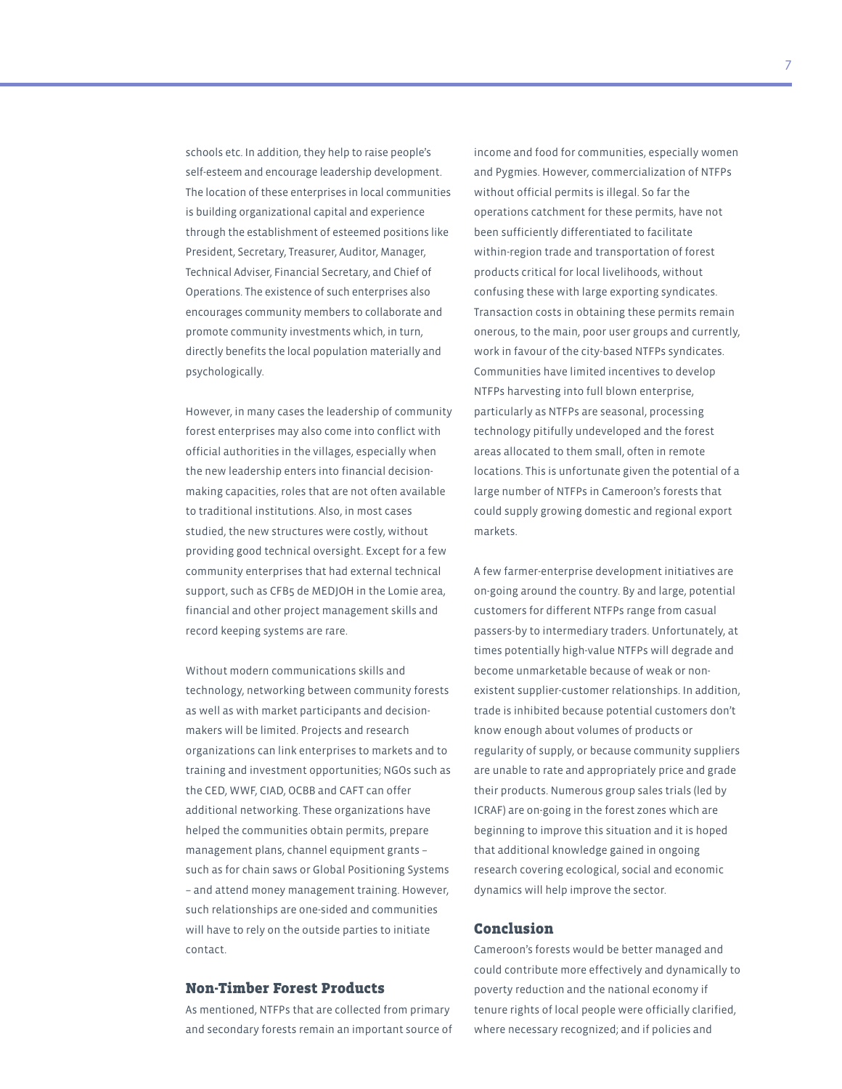schools etc. In addition, they help to raise people's self-esteem and encourage leadership development. The location of these enterprises in local communities is building organizational capital and experience through the establishment of esteemed positions like President, Secretary, Treasurer, Auditor, Manager, Technical Adviser, Financial Secretary, and Chief of Operations. The existence of such enterprises also encourages community members to collaborate and promote community investments which, in turn, directly benefits the local population materially and psychologically.

However, in many cases the leadership of community forest enterprises may also come into conflict with official authorities in the villages, especially when the new leadership enters into financial decisionmaking capacities, roles that are not often available to traditional institutions. Also, in most cases studied, the new structures were costly, without providing good technical oversight. Except for a few community enterprises that had external technical support, such as CFB5 de MEDJOH in the Lomie area, financial and other project management skills and record keeping systems are rare.

Without modern communications skills and technology, networking between community forests as well as with market participants and decisionmakers will be limited. Projects and research organizations can link enterprises to markets and to training and investment opportunities; NGOs such as the CED, WWF, CIAD, OCBB and CAFT can offer additional networking. These organizations have helped the communities obtain permits, prepare management plans, channel equipment grants – such as for chain saws or Global Positioning Systems – and attend money management training. However, such relationships are one-sided and communities will have to rely on the outside parties to initiate contact.

#### Non-Timber Forest Products

As mentioned, NTFPs that are collected from primary and secondary forests remain an important source of

income and food for communities, especially women and Pygmies. However, commercialization of NTFPs without official permits is illegal. So far the operations catchment for these permits, have not been sufficiently differentiated to facilitate within-region trade and transportation of forest products critical for local livelihoods, without confusing these with large exporting syndicates. Transaction costs in obtaining these permits remain onerous, to the main, poor user groups and currently, work in favour of the city-based NTFPs syndicates. Communities have limited incentives to develop NTFPs harvesting into full blown enterprise, particularly as NTFPs are seasonal, processing technology pitifully undeveloped and the forest areas allocated to them small, often in remote locations. This is unfortunate given the potential of a large number of NTFPs in Cameroon's forests that could supply growing domestic and regional export markets.

A few farmer-enterprise development initiatives are on-going around the country. By and large, potential customers for different NTFPs range from casual passers-by to intermediary traders. Unfortunately, at times potentially high-value NTFPs will degrade and become unmarketable because of weak or nonexistent supplier-customer relationships. In addition, trade is inhibited because potential customers don't know enough about volumes of products or regularity of supply, or because community suppliers are unable to rate and appropriately price and grade their products. Numerous group sales trials (led by ICRAF) are on-going in the forest zones which are beginning to improve this situation and it is hoped that additional knowledge gained in ongoing research covering ecological, social and economic dynamics will help improve the sector.

## Conclusion

Cameroon's forests would be better managed and could contribute more effectively and dynamically to poverty reduction and the national economy if tenure rights of local people were officially clarified, where necessary recognized; and if policies and